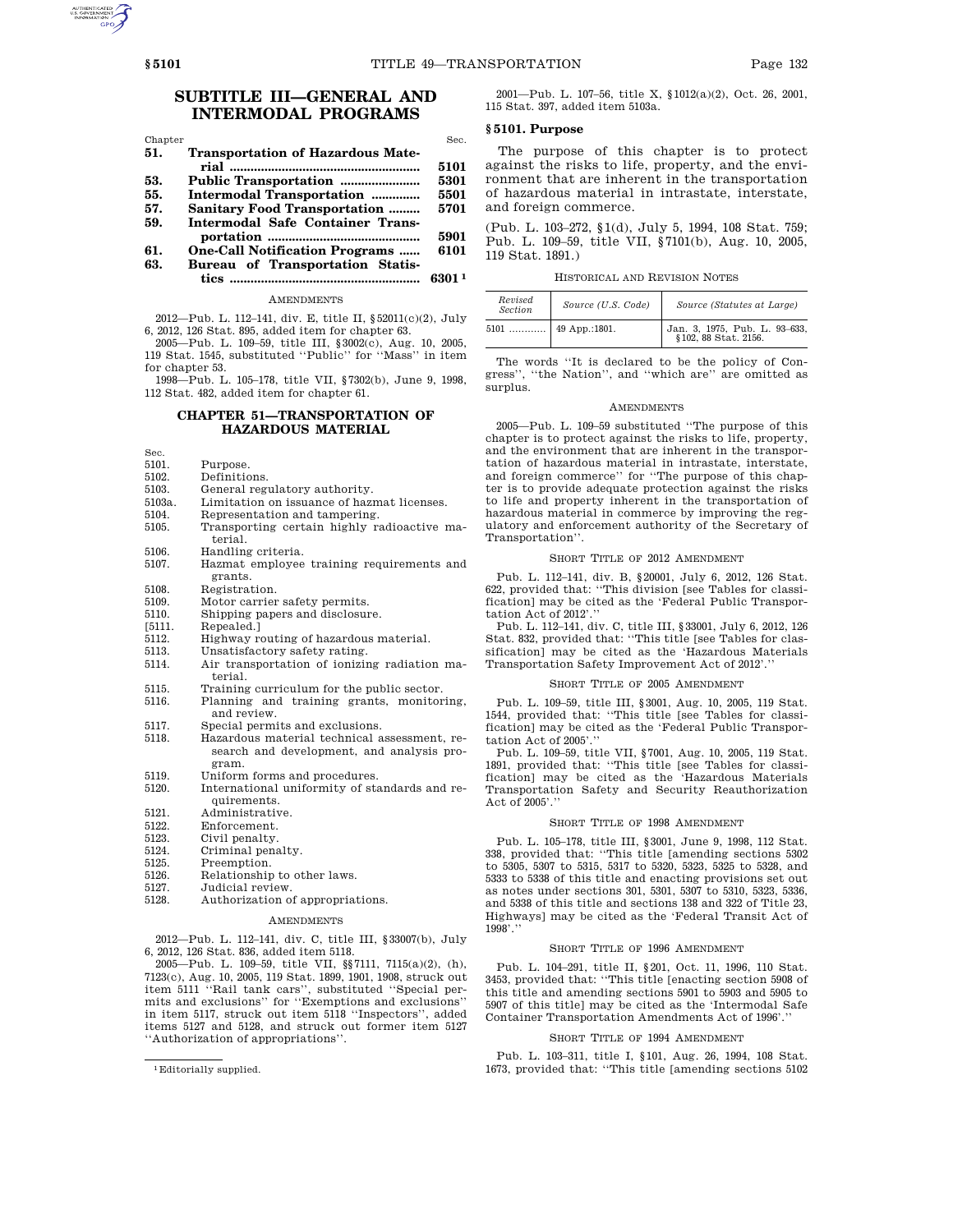# **SUBTITLE III—GENERAL AND INTERMODAL PROGRAMS**

| Chapter |                                          | Sec.   |
|---------|------------------------------------------|--------|
| 51.     | <b>Transportation of Hazardous Mate-</b> |        |
|         |                                          | 5101   |
| 53.     |                                          | 5301   |
| 55.     | Intermodal Transportation                | 5501   |
| 57.     | <b>Sanitary Food Transportation </b>     | 5701   |
| 59.     | Intermodal Safe Container Trans-         |        |
|         |                                          | 5901   |
| 61.     | <b>One-Call Notification Programs </b>   | 6101   |
| 63.     | Bureau of Transportation Statis-         |        |
|         | tics                                     | 6301 1 |

**AMENDMENTS** 

2012—Pub. L. 112–141, div. E, title II, §52011(c)(2), July 6, 2012, 126 Stat. 895, added item for chapter 63.

2005—Pub. L. 109–59, title III, §3002(c), Aug. 10, 2005, 119 Stat. 1545, substituted ''Public'' for ''Mass'' in item for chapter 53.

1998—Pub. L. 105–178, title VII, §7302(b), June 9, 1998, 112 Stat. 482, added item for chapter 61.

# **CHAPTER 51—TRANSPORTATION OF HAZARDOUS MATERIAL**

Sec.<br> $5101.$ 

- 5101. Purpose.<br>5102 Definition
- 5102. Definitions.<br>5103. General regu
- 5103. General regulatory authority.<br>5103a. Limitation on issuance of hazr
- 5103a. Limitation on issuance of hazmat licenses.<br>5104. Representation and tampering.
- 5104. Representation and tampering.<br>5105 Transporting certain highly ra
- Transporting certain highly radioactive material.
- 5106. Handling criteria.<br>5107. Hazmat employee
- 5107. Hazmat employee training requirements and grants.
- 
- 5108. Registration.<br>5109. Motor carrier Motor carrier safety permits.
- 5110. Shipping papers and disclosure.
- 
- $[5111.$  Repealed.]<br> $5112$  Highway r
- 5112. Highway routing of hazardous material.
- 5113. Unsatisfactory safety rating.<br>5114. Air transportation of ionizing. Air transportation of ionizing radiation material.
- 5115. Training curriculum for the public sector.<br>5116. Planning and training grants, monitor 5116. Planning and training grants, monitoring,
- and review.
- 5117. Special permits and exclusions.<br>5118. Hazardous material technical a 5118. Hazardous material technical assessment, research and development, and analysis program.
- 5119. Uniform forms and procedures.<br>5120. International uniformity of sta
- International uniformity of standards and requirements.
- 5121. Administrative.<br>5122. Enforcement.
- 5122. Enforcement.<br>5123. Civil penalty.
- 5123. Civil penalty.<br>5124. Criminal pena
- 5124. Criminal penalty.<br>5125 Preemption
- Preemption.
- 5126. Relationship to other laws.<br>5127. Judicial review.
- 5127. Judicial review.<br>5128. Authorization o
- Authorization of appropriations.

## AMENDMENTS

2012—Pub. L. 112–141, div. C, title III, §33007(b), July 6, 2012, 126 Stat. 836, added item 5118.

2005—Pub. L. 109–59, title VII, §§7111, 7115(a)(2), (h), 7123(c), Aug. 10, 2005, 119 Stat. 1899, 1901, 1908, struck out item 5111 ''Rail tank cars'', substituted ''Special permits and exclusions'' for ''Exemptions and exclusions'' in item 5117, struck out item 5118 ''Inspectors'', added items 5127 and 5128, and struck out former item 5127 ''Authorization of appropriations''.

2001—Pub. L. 107–56, title X, §1012(a)(2), Oct. 26, 2001, 115 Stat. 397, added item 5103a.

#### **§ 5101. Purpose**

The purpose of this chapter is to protect against the risks to life, property, and the environment that are inherent in the transportation of hazardous material in intrastate, interstate, and foreign commerce.

(Pub. L. 103–272, §1(d), July 5, 1994, 108 Stat. 759; Pub. L. 109–59, title VII, §7101(b), Aug. 10, 2005, 119 Stat. 1891.)

HISTORICAL AND REVISION NOTES

| Revised<br><b>Section</b> | Source (U.S. Code) | Source (Statutes at Large)                            |
|---------------------------|--------------------|-------------------------------------------------------|
| 5101                      | 49 App.:1801.      | Jan. 3, 1975, Pub. L. 93-633,<br>§102, 88 Stat. 2156. |

The words ''It is declared to be the policy of Congress'', ''the Nation'', and ''which are'' are omitted as surplus.

### **AMENDMENTS**

2005—Pub. L. 109–59 substituted ''The purpose of this chapter is to protect against the risks to life, property, and the environment that are inherent in the transportation of hazardous material in intrastate, interstate, and foreign commerce'' for ''The purpose of this chapter is to provide adequate protection against the risks to life and property inherent in the transportation of hazardous material in commerce by improving the regulatory and enforcement authority of the Secretary of Transportation''.

#### SHORT TITLE OF 2012 AMENDMENT

Pub. L. 112–141, div. B, §20001, July 6, 2012, 126 Stat. 622, provided that: ''This division [see Tables for classification] may be cited as the 'Federal Public Transportation Act of 2012'.''

Pub. L. 112–141, div. C, title III, §33001, July 6, 2012, 126 Stat. 832, provided that: ''This title [see Tables for classification] may be cited as the 'Hazardous Materials Transportation Safety Improvement Act of 2012'.''

#### SHORT TITLE OF 2005 AMENDMENT

Pub. L. 109–59, title III, §3001, Aug. 10, 2005, 119 Stat. 1544, provided that: ''This title [see Tables for classification] may be cited as the 'Federal Public Transportation Act of 2005'.''

Pub. L. 109–59, title VII, §7001, Aug. 10, 2005, 119 Stat. 1891, provided that: ''This title [see Tables for classification] may be cited as the 'Hazardous Materials Transportation Safety and Security Reauthorization Act of 2005'.''

#### SHORT TITLE OF 1998 AMENDMENT

Pub. L. 105–178, title III, §3001, June 9, 1998, 112 Stat. 338, provided that: ''This title [amending sections 5302 to 5305, 5307 to 5315, 5317 to 5320, 5323, 5325 to 5328, and 5333 to 5338 of this title and enacting provisions set out as notes under sections 301, 5301, 5307 to 5310, 5323, 5336, and 5338 of this title and sections 138 and 322 of Title 23, Highways] may be cited as the 'Federal Transit Act of 1998'.''

### SHORT TITLE OF 1996 AMENDMENT

Pub. L. 104–291, title II, §201, Oct. 11, 1996, 110 Stat. 3453, provided that: ''This title [enacting section 5908 of this title and amending sections 5901 to 5903 and 5905 to 5907 of this title] may be cited as the 'Intermodal Safe Container Transportation Amendments Act of 1996'.

#### SHORT TITLE OF 1994 AMENDMENT

Pub. L. 103–311, title I, §101, Aug. 26, 1994, 108 Stat. 1673, provided that: ''This title [amending sections 5102

<sup>1</sup>Editorially supplied.